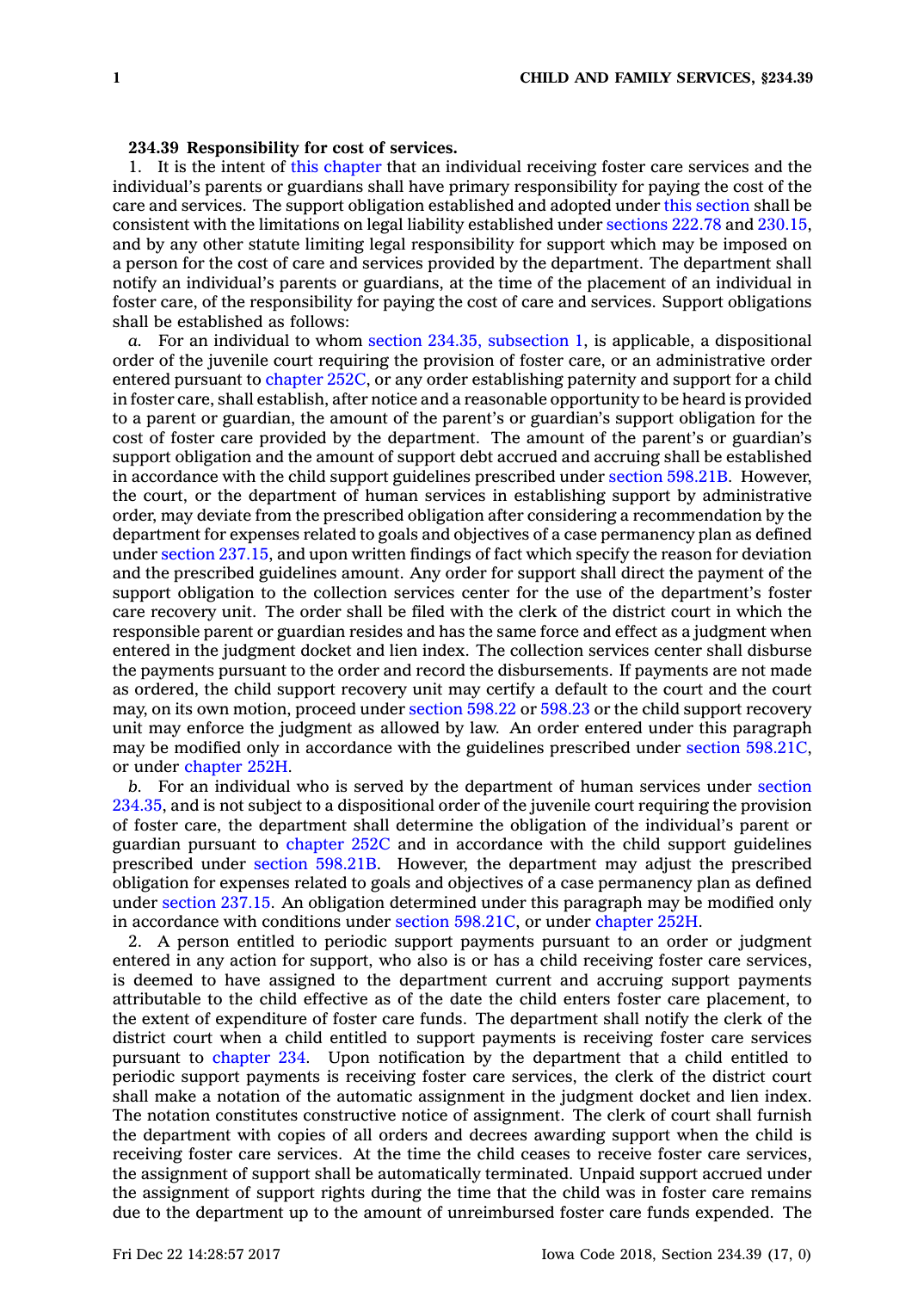## **234.39 Responsibility for cost of services.**

1. It is the intent of this [chapter](https://www.legis.iowa.gov/docs/code//234.pdf) that an individual receiving foster care services and the individual's parents or guardians shall have primary responsibility for paying the cost of the care and services. The support obligation established and adopted under this [section](https://www.legis.iowa.gov/docs/code/234.39.pdf) shall be consistent with the limitations on legal liability established under [sections](https://www.legis.iowa.gov/docs/code/222.78.pdf) 222.78 and [230.15](https://www.legis.iowa.gov/docs/code/230.15.pdf), and by any other statute limiting legal responsibility for support which may be imposed on <sup>a</sup> person for the cost of care and services provided by the department. The department shall notify an individual's parents or guardians, at the time of the placement of an individual in foster care, of the responsibility for paying the cost of care and services. Support obligations shall be established as follows:

*a.* For an individual to whom section 234.35, [subsection](https://www.legis.iowa.gov/docs/code/234.35.pdf) 1, is applicable, <sup>a</sup> dispositional order of the juvenile court requiring the provision of foster care, or an administrative order entered pursuant to [chapter](https://www.legis.iowa.gov/docs/code//252C.pdf) 252C, or any order establishing paternity and support for <sup>a</sup> child in foster care, shall establish, after notice and <sup>a</sup> reasonable opportunity to be heard is provided to <sup>a</sup> parent or guardian, the amount of the parent's or guardian's support obligation for the cost of foster care provided by the department. The amount of the parent's or guardian's support obligation and the amount of support debt accrued and accruing shall be established in accordance with the child support guidelines prescribed under section [598.21B](https://www.legis.iowa.gov/docs/code/598.21B.pdf). However, the court, or the department of human services in establishing support by administrative order, may deviate from the prescribed obligation after considering <sup>a</sup> recommendation by the department for expenses related to goals and objectives of <sup>a</sup> case permanency plan as defined under section [237.15](https://www.legis.iowa.gov/docs/code/237.15.pdf), and upon written findings of fact which specify the reason for deviation and the prescribed guidelines amount. Any order for support shall direct the payment of the support obligation to the collection services center for the use of the department's foster care recovery unit. The order shall be filed with the clerk of the district court in which the responsible parent or guardian resides and has the same force and effect as <sup>a</sup> judgment when entered in the judgment docket and lien index. The collection services center shall disburse the payments pursuant to the order and record the disbursements. If payments are not made as ordered, the child support recovery unit may certify <sup>a</sup> default to the court and the court may, on its own motion, proceed under [section](https://www.legis.iowa.gov/docs/code/598.22.pdf) 598.22 or [598.23](https://www.legis.iowa.gov/docs/code/598.23.pdf) or the child support recovery unit may enforce the judgment as allowed by law. An order entered under this paragraph may be modified only in accordance with the guidelines prescribed under section [598.21C](https://www.legis.iowa.gov/docs/code/598.21C.pdf), or under [chapter](https://www.legis.iowa.gov/docs/code//252H.pdf) 252H.

*b.* For an individual who is served by the department of human services under [section](https://www.legis.iowa.gov/docs/code/234.35.pdf) [234.35](https://www.legis.iowa.gov/docs/code/234.35.pdf), and is not subject to <sup>a</sup> dispositional order of the juvenile court requiring the provision of foster care, the department shall determine the obligation of the individual's parent or guardian pursuant to [chapter](https://www.legis.iowa.gov/docs/code//252C.pdf) 252C and in accordance with the child support guidelines prescribed under section [598.21B](https://www.legis.iowa.gov/docs/code/598.21B.pdf). However, the department may adjust the prescribed obligation for expenses related to goals and objectives of <sup>a</sup> case permanency plan as defined under [section](https://www.legis.iowa.gov/docs/code/237.15.pdf) 237.15. An obligation determined under this paragraph may be modified only in accordance with conditions under section [598.21C](https://www.legis.iowa.gov/docs/code/598.21C.pdf), or under [chapter](https://www.legis.iowa.gov/docs/code//252H.pdf) 252H.

2. A person entitled to periodic support payments pursuant to an order or judgment entered in any action for support, who also is or has <sup>a</sup> child receiving foster care services, is deemed to have assigned to the department current and accruing support payments attributable to the child effective as of the date the child enters foster care placement, to the extent of expenditure of foster care funds. The department shall notify the clerk of the district court when <sup>a</sup> child entitled to support payments is receiving foster care services pursuant to [chapter](https://www.legis.iowa.gov/docs/code//234.pdf) 234. Upon notification by the department that <sup>a</sup> child entitled to periodic support payments is receiving foster care services, the clerk of the district court shall make <sup>a</sup> notation of the automatic assignment in the judgment docket and lien index. The notation constitutes constructive notice of assignment. The clerk of court shall furnish the department with copies of all orders and decrees awarding support when the child is receiving foster care services. At the time the child ceases to receive foster care services, the assignment of support shall be automatically terminated. Unpaid support accrued under the assignment of support rights during the time that the child was in foster care remains due to the department up to the amount of unreimbursed foster care funds expended. The